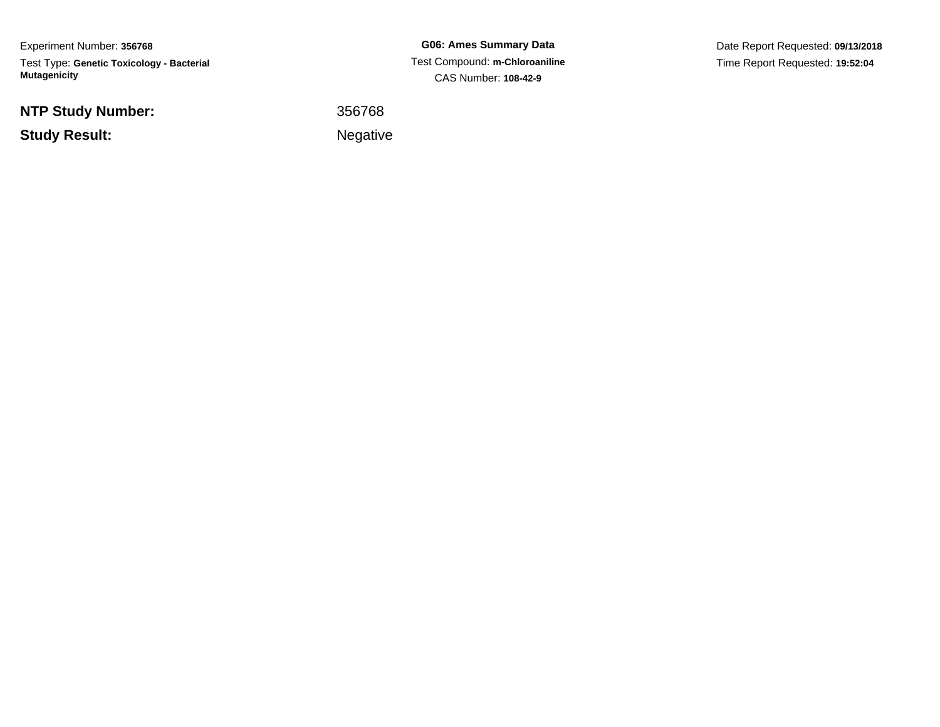Experiment Number: **356768**Test Type: **Genetic Toxicology - Bacterial Mutagenicity**

**NTP Study Number:**

**Study Result:**

**G06: Ames Summary Data** Test Compound: **m-Chloroaniline**CAS Number: **108-42-9**

Date Report Requested: **09/13/2018**Time Report Requested: **19:52:04**

<sup>356768</sup>

Negative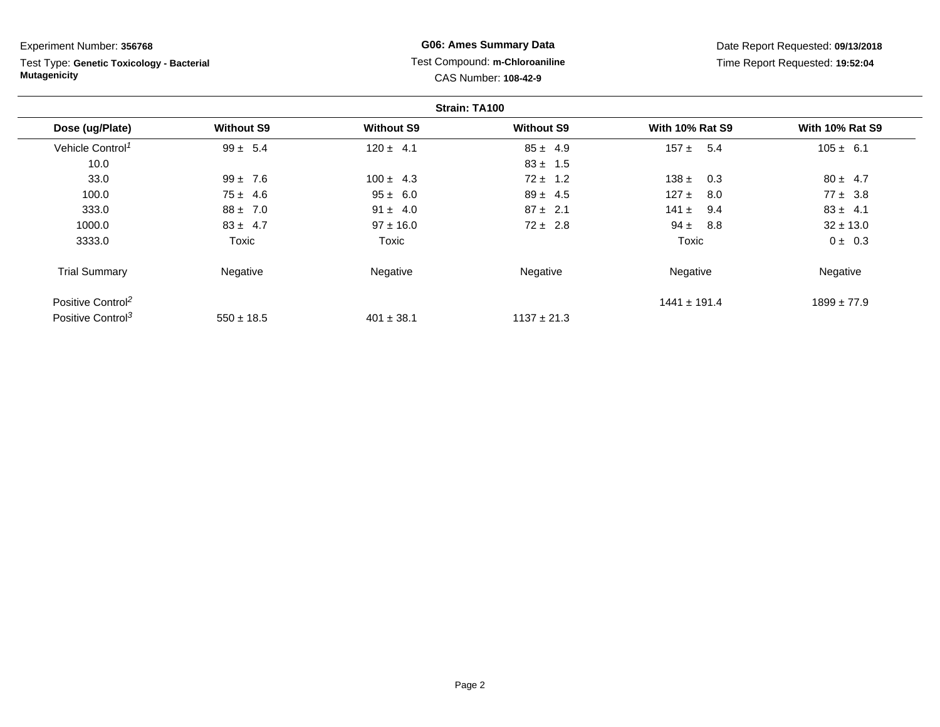Test Type: **Genetic Toxicology - Bacterial Mutagenicity**

# **G06: Ames Summary Data** Test Compound: **m-Chloroaniline**CAS Number: **108-42-9**

|                               |                   |                   | Strain: TA100     |                        |                        |
|-------------------------------|-------------------|-------------------|-------------------|------------------------|------------------------|
| Dose (ug/Plate)               | <b>Without S9</b> | <b>Without S9</b> | <b>Without S9</b> | <b>With 10% Rat S9</b> | <b>With 10% Rat S9</b> |
| Vehicle Control <sup>1</sup>  | $99 \pm 5.4$      | $120 \pm 4.1$     | $85 \pm 4.9$      | $157 \pm 5.4$          | $105 \pm 6.1$          |
| 10.0                          |                   |                   | $83 \pm 1.5$      |                        |                        |
| 33.0                          | $99 \pm 7.6$      | $100 \pm 4.3$     | $72 \pm 1.2$      | $138 \pm$<br>0.3       | $80 \pm 4.7$           |
| 100.0                         | $75 \pm 4.6$      | $95 \pm 6.0$      | $89 \pm 4.5$      | $127 +$<br>8.0         | $77 \pm 3.8$           |
| 333.0                         | $88 \pm 7.0$      | $91 \pm 4.0$      | $87 \pm 2.1$      | $141 \pm$<br>9.4       | $83 \pm 4.1$           |
| 1000.0                        | $83 \pm 4.7$      | $97 \pm 16.0$     | $72 \pm 2.8$      | $94 \pm 8.8$           | $32 \pm 13.0$          |
| 3333.0                        | Toxic             | Toxic             |                   | Toxic                  | $0 \pm 0.3$            |
| <b>Trial Summary</b>          | Negative          | Negative          | Negative          | Negative               | Negative               |
| Positive Control <sup>2</sup> |                   |                   |                   | $1441 \pm 191.4$       | $1899 \pm 77.9$        |
| Positive Control <sup>3</sup> | $550 \pm 18.5$    | $401 \pm 38.1$    | $1137 \pm 21.3$   |                        |                        |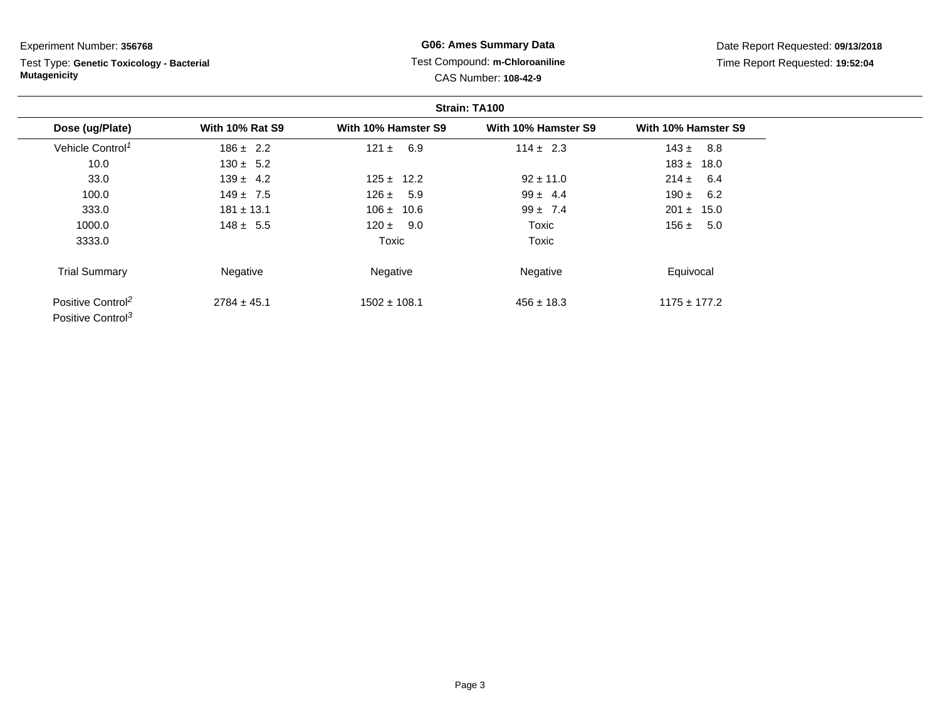Test Type: **Genetic Toxicology - Bacterial Mutagenicity**

**G06: Ames Summary Data** Test Compound: **m-Chloroaniline**CAS Number: **108-42-9**

|                                                                |                        |                     | Strain: TA100       |                     |
|----------------------------------------------------------------|------------------------|---------------------|---------------------|---------------------|
| Dose (ug/Plate)                                                | <b>With 10% Rat S9</b> | With 10% Hamster S9 | With 10% Hamster S9 | With 10% Hamster S9 |
| Vehicle Control <sup>1</sup>                                   | $186 \pm 2.2$          | $121 \pm 6.9$       | $114 \pm 2.3$       | $143 \pm 8.8$       |
| 10.0                                                           | $130 \pm 5.2$          |                     |                     | $183 \pm 18.0$      |
| 33.0                                                           | $139 \pm 4.2$          | $125 \pm 12.2$      | $92 \pm 11.0$       | $214 \pm 6.4$       |
| 100.0                                                          | $149 \pm 7.5$          | $126 \pm 5.9$       | $99 \pm 4.4$        | $190 \pm 6.2$       |
| 333.0                                                          | $181 \pm 13.1$         | $106 \pm 10.6$      | $99 \pm 7.4$        | $201 \pm 15.0$      |
| 1000.0                                                         | $148 \pm 5.5$          | $120 \pm 9.0$       | Toxic               | $156 \pm 5.0$       |
| 3333.0                                                         |                        | Toxic               | Toxic               |                     |
| <b>Trial Summary</b>                                           | Negative               | Negative            | Negative            | Equivocal           |
| Positive Control <sup>2</sup><br>Positive Control <sup>3</sup> | $2784 \pm 45.1$        | $1502 \pm 108.1$    | $456 \pm 18.3$      | $1175 \pm 177.2$    |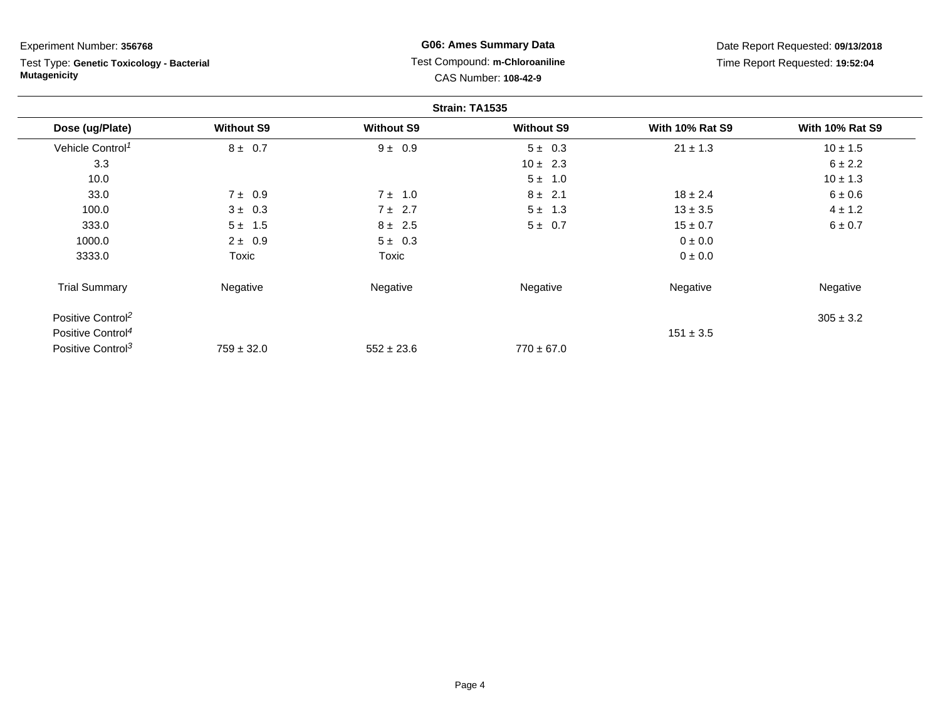Test Type: **Genetic Toxicology - Bacterial Mutagenicity**

**G06: Ames Summary Data** Test Compound: **m-Chloroaniline**CAS Number: **108-42-9**

|                               |                   |                   | Strain: TA1535    |                        |                        |
|-------------------------------|-------------------|-------------------|-------------------|------------------------|------------------------|
| Dose (ug/Plate)               | <b>Without S9</b> | <b>Without S9</b> | <b>Without S9</b> | <b>With 10% Rat S9</b> | <b>With 10% Rat S9</b> |
| Vehicle Control <sup>1</sup>  | $8 \pm 0.7$       | $9 \pm 0.9$       | $5 \pm 0.3$       | $21 \pm 1.3$           | $10 \pm 1.5$           |
| 3.3                           |                   |                   | $10 \pm 2.3$      |                        | 6 ± 2.2                |
| 10.0                          |                   |                   | $5 \pm 1.0$       |                        | $10 \pm 1.3$           |
| 33.0                          | $7 \pm 0.9$       | $7 \pm 1.0$       | $8 \pm 2.1$       | $18 \pm 2.4$           | 6 ± 0.6                |
| 100.0                         | $3 \pm 0.3$       | $7 \pm 2.7$       | $5 \pm 1.3$       | $13 \pm 3.5$           | $4 \pm 1.2$            |
| 333.0                         | $5 \pm 1.5$       | $8 \pm 2.5$       | $5 \pm 0.7$       | $15 \pm 0.7$           | 6 ± 0.7                |
| 1000.0                        | $2 \pm 0.9$       | $5 \pm 0.3$       |                   | 0 ± 0.0                |                        |
| 3333.0                        | Toxic             | Toxic             |                   | 0 ± 0.0                |                        |
| <b>Trial Summary</b>          | Negative          | Negative          | Negative          | Negative               | Negative               |
| Positive Control <sup>2</sup> |                   |                   |                   |                        | $305 \pm 3.2$          |
| Positive Control <sup>4</sup> |                   |                   |                   | $151 \pm 3.5$          |                        |
| Positive Control <sup>3</sup> | $759 \pm 32.0$    | $552 \pm 23.6$    | $770 \pm 67.0$    |                        |                        |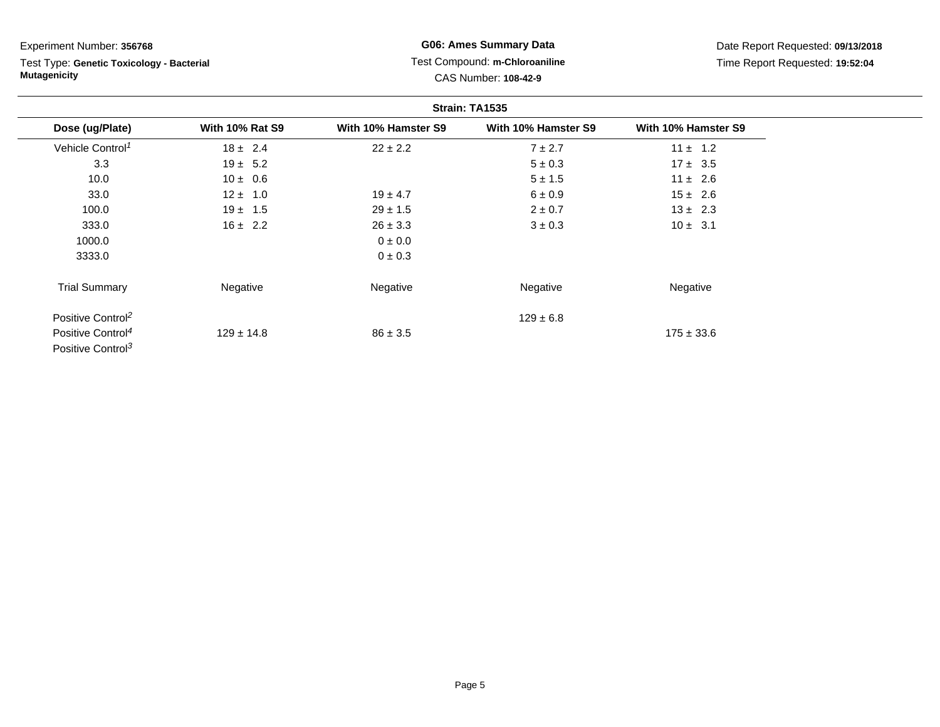Test Type: **Genetic Toxicology - Bacterial Mutagenicity**

**G06: Ames Summary Data** Test Compound: **m-Chloroaniline**CAS Number: **108-42-9**

|                               |                        |                     | Strain: TA1535      |                     |
|-------------------------------|------------------------|---------------------|---------------------|---------------------|
| Dose (ug/Plate)               | <b>With 10% Rat S9</b> | With 10% Hamster S9 | With 10% Hamster S9 | With 10% Hamster S9 |
| Vehicle Control <sup>1</sup>  | $18 \pm 2.4$           | $22 \pm 2.2$        | $7 \pm 2.7$         | $11 \pm 1.2$        |
| 3.3                           | $19 \pm 5.2$           |                     | $5 \pm 0.3$         | $17 \pm 3.5$        |
| 10.0                          | $10 \pm 0.6$           |                     | $5 \pm 1.5$         | $11 \pm 2.6$        |
| 33.0                          | $12 \pm 1.0$           | $19 \pm 4.7$        | 6 ± 0.9             | $15 \pm 2.6$        |
| 100.0                         | $19 \pm 1.5$           | $29 \pm 1.5$        | $2 \pm 0.7$         | $13 \pm 2.3$        |
| 333.0                         | $16 \pm 2.2$           | $26 \pm 3.3$        | $3 \pm 0.3$         | $10 \pm 3.1$        |
| 1000.0                        |                        | 0 ± 0.0             |                     |                     |
| 3333.0                        |                        | $0 \pm 0.3$         |                     |                     |
| <b>Trial Summary</b>          | Negative               | Negative            | Negative            | Negative            |
| Positive Control <sup>2</sup> |                        |                     | $129 \pm 6.8$       |                     |
| Positive Control <sup>4</sup> | $129 \pm 14.8$         | $86 \pm 3.5$        |                     | $175 \pm 33.6$      |
| Positive Control <sup>3</sup> |                        |                     |                     |                     |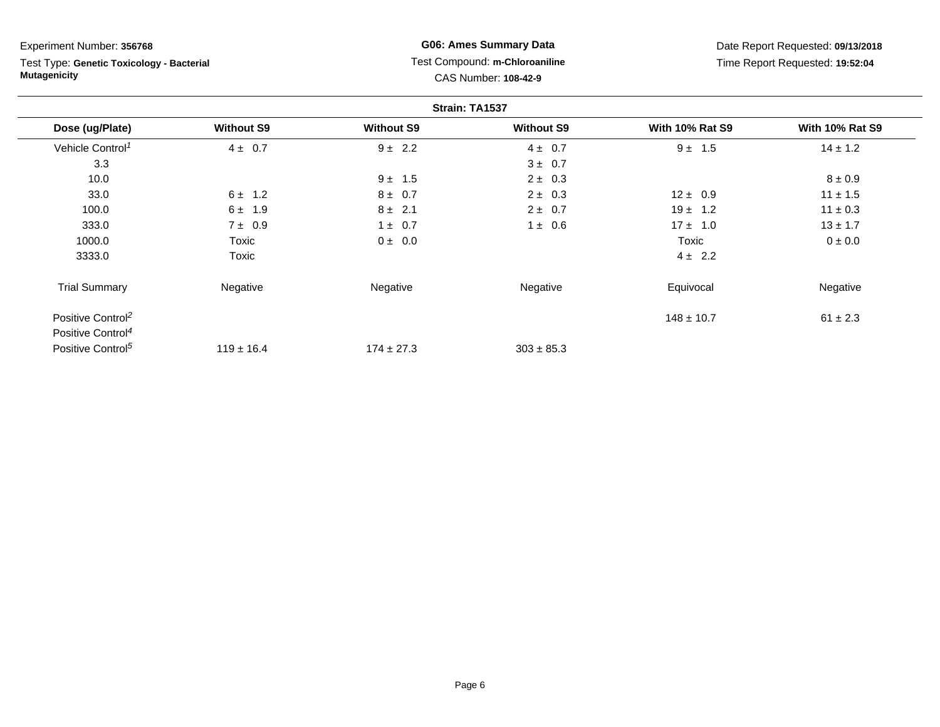Test Type: **Genetic Toxicology - Bacterial Mutagenicity**

**G06: Ames Summary Data** Test Compound: **m-Chloroaniline**CAS Number: **108-42-9**

|                               |                   |                   | Strain: TA1537    |                        |                        |
|-------------------------------|-------------------|-------------------|-------------------|------------------------|------------------------|
| Dose (ug/Plate)               | <b>Without S9</b> | <b>Without S9</b> | <b>Without S9</b> | <b>With 10% Rat S9</b> | <b>With 10% Rat S9</b> |
| Vehicle Control <sup>1</sup>  | $4 \pm 0.7$       | $9 \pm 2.2$       | $4 \pm 0.7$       | $9 \pm 1.5$            | $14 \pm 1.2$           |
| 3.3                           |                   |                   | 3 ± 0.7           |                        |                        |
| 10.0                          |                   | $9 \pm 1.5$       | $2 \pm 0.3$       |                        | $8 \pm 0.9$            |
| 33.0                          | $6 \pm 1.2$       | $8 \pm 0.7$       | $2 \pm 0.3$       | $12 \pm 0.9$           | $11 \pm 1.5$           |
| 100.0                         | 6 ±<br>1.9        | $8 \pm 2.1$       | $2 \pm 0.7$       | $19 \pm 1.2$           | $11 \pm 0.3$           |
| 333.0                         | $7 \pm 0.9$       | $1 \pm 0.7$       | $1 \pm 0.6$       | $17 \pm 1.0$           | $13 \pm 1.7$           |
| 1000.0                        | Toxic             | $0 \pm 0.0$       |                   | Toxic                  | 0 ± 0.0                |
| 3333.0                        | Toxic             |                   |                   | $4 \pm 2.2$            |                        |
| <b>Trial Summary</b>          | Negative          | Negative          | Negative          | Equivocal              | Negative               |
| Positive Control <sup>2</sup> |                   |                   |                   | $148 \pm 10.7$         | $61 \pm 2.3$           |
| Positive Control <sup>4</sup> |                   |                   |                   |                        |                        |
| Positive Control <sup>5</sup> | $119 \pm 16.4$    | $174 \pm 27.3$    | $303 \pm 85.3$    |                        |                        |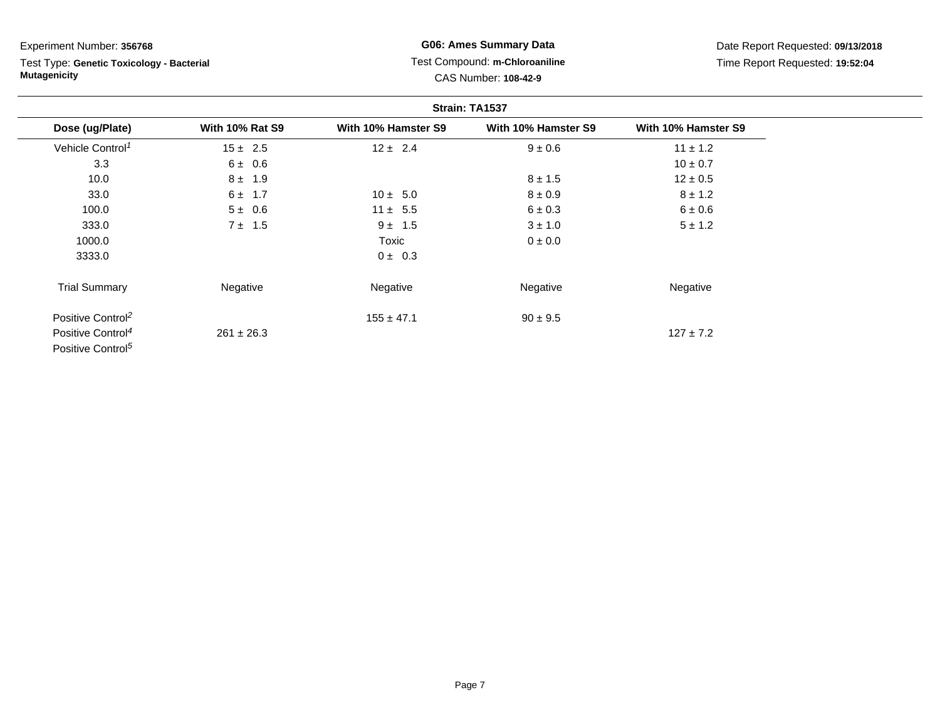Test Type: **Genetic Toxicology - Bacterial Mutagenicity**

**G06: Ames Summary Data** Test Compound: **m-Chloroaniline**CAS Number: **108-42-9**

|                               |                        |                     | Strain: TA1537      |                     |
|-------------------------------|------------------------|---------------------|---------------------|---------------------|
| Dose (ug/Plate)               | <b>With 10% Rat S9</b> | With 10% Hamster S9 | With 10% Hamster S9 | With 10% Hamster S9 |
| Vehicle Control <sup>1</sup>  | $15 \pm 2.5$           | $12 \pm 2.4$        | $9 \pm 0.6$         | $11 \pm 1.2$        |
| 3.3                           | 6 ± 0.6                |                     |                     | $10 \pm 0.7$        |
| 10.0                          | $8 \pm 1.9$            |                     | $8 \pm 1.5$         | $12 \pm 0.5$        |
| 33.0                          | $6 \pm 1.7$            | $10 \pm 5.0$        | $8 \pm 0.9$         | $8 \pm 1.2$         |
| 100.0                         | $5 \pm 0.6$            | $11 \pm 5.5$        | 6 ± 0.3             | 6 ± 0.6             |
| 333.0                         | $7 \pm 1.5$            | $9 \pm 1.5$         | $3 \pm 1.0$         | $5 \pm 1.2$         |
| 1000.0                        |                        | Toxic               | 0 ± 0.0             |                     |
| 3333.0                        |                        | $0 \pm 0.3$         |                     |                     |
| <b>Trial Summary</b>          | Negative               | Negative            | Negative            | Negative            |
| Positive Control <sup>2</sup> |                        | $155 \pm 47.1$      | $90 \pm 9.5$        |                     |
| Positive Control <sup>4</sup> | $261 \pm 26.3$         |                     |                     | $127 \pm 7.2$       |
| Positive Control <sup>5</sup> |                        |                     |                     |                     |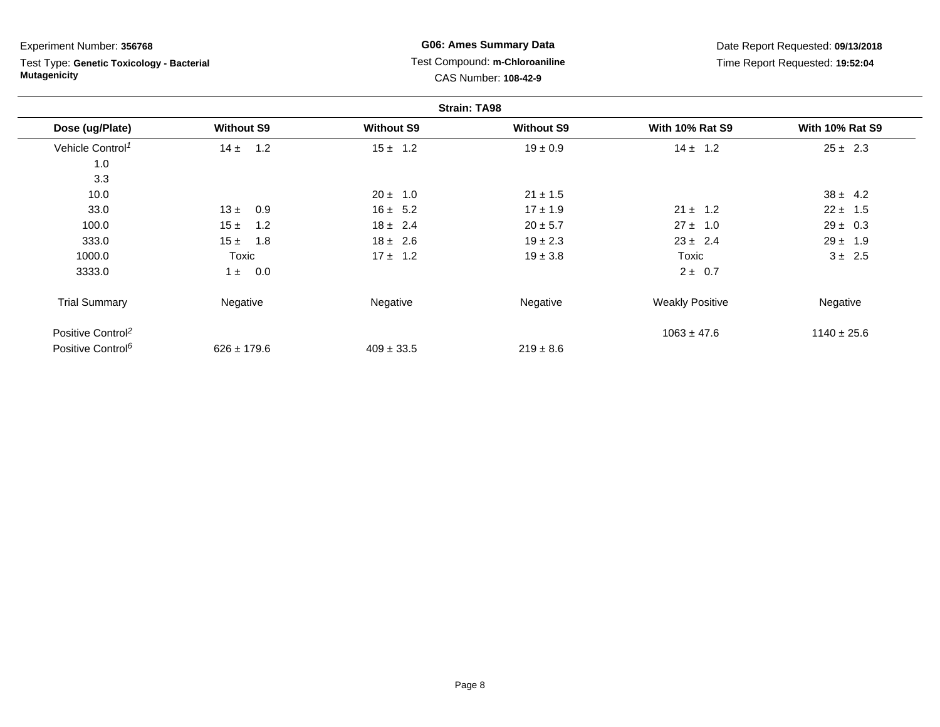Test Type: **Genetic Toxicology - Bacterial Mutagenicity**

# **G06: Ames Summary Data** Test Compound: **m-Chloroaniline**CAS Number: **108-42-9**

|                               |                   |                   | <b>Strain: TA98</b> |                        |                        |
|-------------------------------|-------------------|-------------------|---------------------|------------------------|------------------------|
| Dose (ug/Plate)               | <b>Without S9</b> | <b>Without S9</b> | <b>Without S9</b>   | <b>With 10% Rat S9</b> | <b>With 10% Rat S9</b> |
| Vehicle Control <sup>1</sup>  | 1.2<br>$14 \pm$   | $15 \pm 1.2$      | $19 \pm 0.9$        | $14 \pm 1.2$           | $25 \pm 2.3$           |
| 1.0                           |                   |                   |                     |                        |                        |
| 3.3                           |                   |                   |                     |                        |                        |
| 10.0                          |                   | $20 \pm 1.0$      | $21 \pm 1.5$        |                        | $38 \pm 4.2$           |
| 33.0                          | $13 \pm$<br>0.9   | $16 \pm 5.2$      | $17 \pm 1.9$        | $21 \pm 1.2$           | $22 \pm 1.5$           |
| 100.0                         | 15±<br>1.2        | $18 \pm 2.4$      | $20 \pm 5.7$        | $27 \pm 1.0$           | $29 \pm 0.3$           |
| 333.0                         | 15±<br>1.8        | $18 \pm 2.6$      | $19 \pm 2.3$        | $23 \pm 2.4$           | $29 \pm 1.9$           |
| 1000.0                        | Toxic             | $17 \pm 1.2$      | $19 \pm 3.8$        | Toxic                  | $3 \pm 2.5$            |
| 3333.0                        | 0.0<br>$1 \pm$    |                   |                     | $2 \pm 0.7$            |                        |
| <b>Trial Summary</b>          | Negative          | Negative          | Negative            | <b>Weakly Positive</b> | Negative               |
| Positive Control <sup>2</sup> |                   |                   |                     | $1063 \pm 47.6$        | $1140 \pm 25.6$        |
| Positive Control <sup>6</sup> | $626 \pm 179.6$   | $409 \pm 33.5$    | $219 \pm 8.6$       |                        |                        |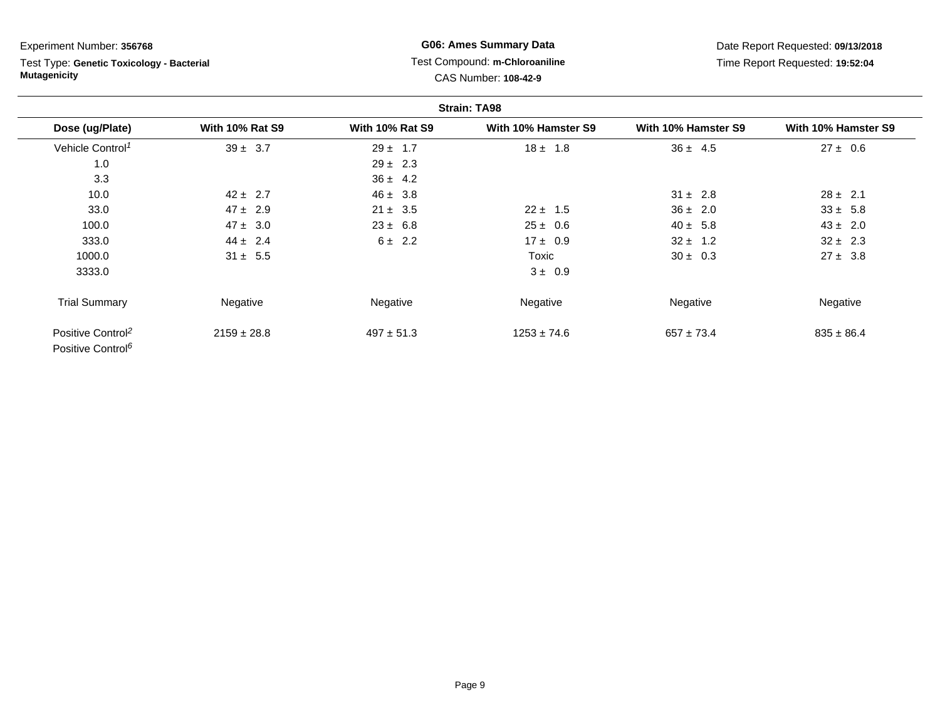Test Type: **Genetic Toxicology - Bacterial Mutagenicity**

**G06: Ames Summary Data** Test Compound: **m-Chloroaniline**CAS Number: **108-42-9**

Date Report Requested: **09/13/2018**Time Report Requested: **19:52:04**

|                                                                |                        |                        | <b>Strain: TA98</b> |                     |                     |
|----------------------------------------------------------------|------------------------|------------------------|---------------------|---------------------|---------------------|
| Dose (ug/Plate)                                                | <b>With 10% Rat S9</b> | <b>With 10% Rat S9</b> | With 10% Hamster S9 | With 10% Hamster S9 | With 10% Hamster S9 |
| Vehicle Control <sup>1</sup>                                   | $39 \pm 3.7$           | $29 \pm 1.7$           | $18 \pm 1.8$        | $36 \pm 4.5$        | $27 \pm 0.6$        |
| 1.0                                                            |                        | $29 \pm 2.3$           |                     |                     |                     |
| 3.3                                                            |                        | $36 \pm 4.2$           |                     |                     |                     |
| 10.0                                                           | $42 \pm 2.7$           | $46 \pm 3.8$           |                     | $31 \pm 2.8$        | $28 \pm 2.1$        |
| 33.0                                                           | $47 \pm 2.9$           | $21 \pm 3.5$           | $22 \pm 1.5$        | $36 \pm 2.0$        | $33 \pm 5.8$        |
| 100.0                                                          | $47 \pm 3.0$           | $23 \pm 6.8$           | $25 \pm 0.6$        | $40 \pm 5.8$        | $43 \pm 2.0$        |
| 333.0                                                          | $44 \pm 2.4$           | $6 \pm 2.2$            | $17 \pm 0.9$        | $32 \pm 1.2$        | $32 \pm 2.3$        |
| 1000.0                                                         | $31 \pm 5.5$           |                        | Toxic               | $30 \pm 0.3$        | $27 \pm 3.8$        |
| 3333.0                                                         |                        |                        | $3 \pm 0.9$         |                     |                     |
| <b>Trial Summary</b>                                           | Negative               | Negative               | Negative            | Negative            | Negative            |
| Positive Control <sup>2</sup><br>Positive Control <sup>6</sup> | $2159 \pm 28.8$        | $497 \pm 51.3$         | $1253 \pm 74.6$     | $657 \pm 73.4$      | $835 \pm 86.4$      |

Page 9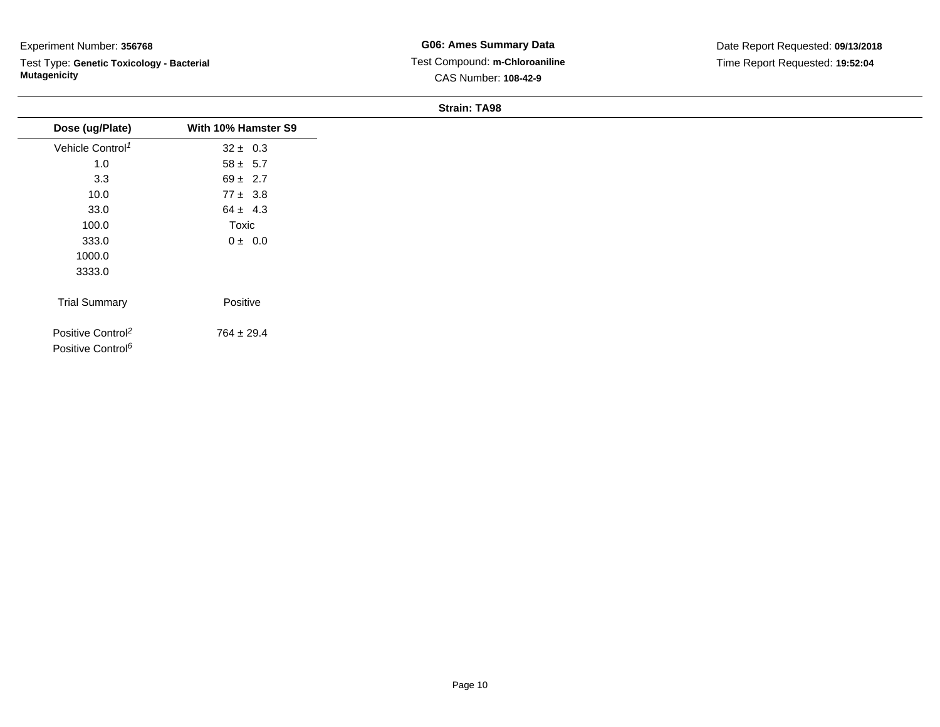Test Type: **Genetic Toxicology - Bacterial Mutagenicity**

**G06: Ames Summary Data** Test Compound: **m-Chloroaniline**CAS Number: **108-42-9**

#### **Strain: TA98**

| Dose (ug/Plate)                                                | With 10% Hamster S9 |
|----------------------------------------------------------------|---------------------|
| Vehicle Control <sup>1</sup>                                   | $32 \pm 0.3$        |
| 1.0                                                            | $58 \pm 5.7$        |
| 3.3                                                            | $69 \pm 2.7$        |
| 10.0                                                           | $77 \pm 3.8$        |
| 33.0                                                           | $64 \pm 4.3$        |
| 100.0                                                          | Toxic               |
| 333.0                                                          | $0 \pm 0.0$         |
| 1000.0                                                         |                     |
| 3333.0                                                         |                     |
| <b>Trial Summary</b>                                           | Positive            |
| Positive Control <sup>2</sup><br>Positive Control <sup>6</sup> | $764 \pm 29.4$      |